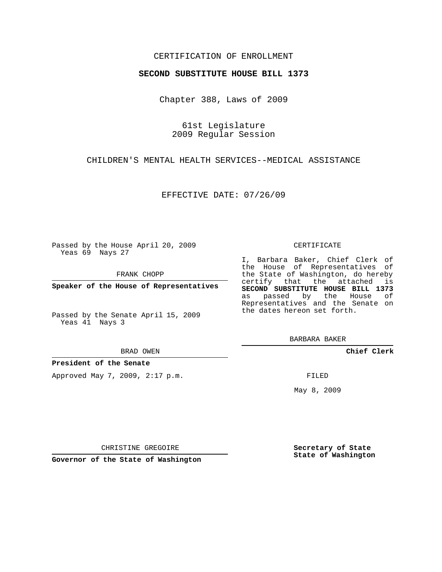## CERTIFICATION OF ENROLLMENT

#### **SECOND SUBSTITUTE HOUSE BILL 1373**

Chapter 388, Laws of 2009

61st Legislature 2009 Regular Session

CHILDREN'S MENTAL HEALTH SERVICES--MEDICAL ASSISTANCE

EFFECTIVE DATE: 07/26/09

Passed by the House April 20, 2009 Yeas 69 Nays 27

FRANK CHOPP

**Speaker of the House of Representatives**

Passed by the Senate April 15, 2009 Yeas 41 Nays 3

#### BRAD OWEN

#### **President of the Senate**

Approved May 7, 2009, 2:17 p.m.

#### CERTIFICATE

I, Barbara Baker, Chief Clerk of the House of Representatives of the State of Washington, do hereby certify that the attached is **SECOND SUBSTITUTE HOUSE BILL 1373** as passed by the House of Representatives and the Senate on the dates hereon set forth.

BARBARA BAKER

**Chief Clerk**

FILED

May 8, 2009

**Secretary of State State of Washington**

CHRISTINE GREGOIRE

**Governor of the State of Washington**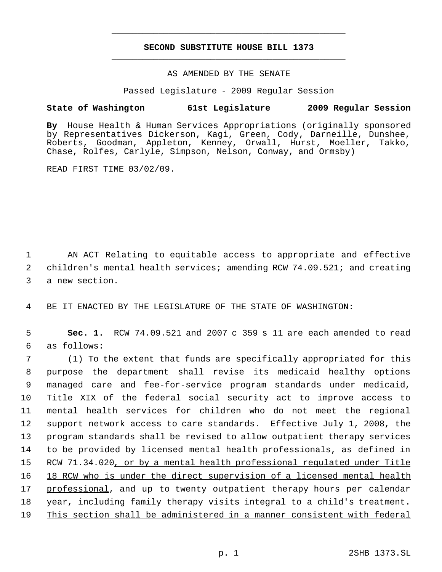# **SECOND SUBSTITUTE HOUSE BILL 1373** \_\_\_\_\_\_\_\_\_\_\_\_\_\_\_\_\_\_\_\_\_\_\_\_\_\_\_\_\_\_\_\_\_\_\_\_\_\_\_\_\_\_\_\_\_

\_\_\_\_\_\_\_\_\_\_\_\_\_\_\_\_\_\_\_\_\_\_\_\_\_\_\_\_\_\_\_\_\_\_\_\_\_\_\_\_\_\_\_\_\_

### AS AMENDED BY THE SENATE

Passed Legislature - 2009 Regular Session

## **State of Washington 61st Legislature 2009 Regular Session**

**By** House Health & Human Services Appropriations (originally sponsored by Representatives Dickerson, Kagi, Green, Cody, Darneille, Dunshee, Roberts, Goodman, Appleton, Kenney, Orwall, Hurst, Moeller, Takko, Chase, Rolfes, Carlyle, Simpson, Nelson, Conway, and Ormsby)

READ FIRST TIME 03/02/09.

 1 AN ACT Relating to equitable access to appropriate and effective 2 children's mental health services; amending RCW 74.09.521; and creating 3 a new section.

4 BE IT ENACTED BY THE LEGISLATURE OF THE STATE OF WASHINGTON:

 5 **Sec. 1.** RCW 74.09.521 and 2007 c 359 s 11 are each amended to read 6 as follows:

 (1) To the extent that funds are specifically appropriated for this purpose the department shall revise its medicaid healthy options managed care and fee-for-service program standards under medicaid, Title XIX of the federal social security act to improve access to mental health services for children who do not meet the regional support network access to care standards. Effective July 1, 2008, the program standards shall be revised to allow outpatient therapy services to be provided by licensed mental health professionals, as defined in 15 RCW 71.34.020, or by a mental health professional regulated under Title 18 RCW who is under the direct supervision of a licensed mental health 17 professional, and up to twenty outpatient therapy hours per calendar year, including family therapy visits integral to a child's treatment. This section shall be administered in a manner consistent with federal